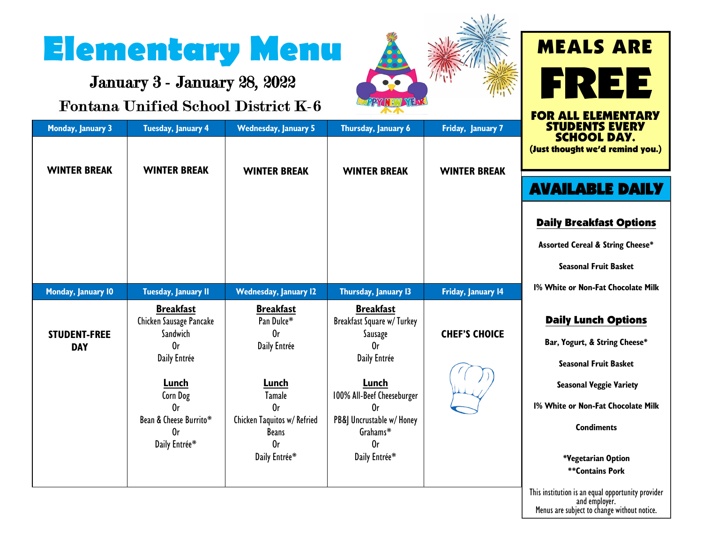## **Elementary Menu**

January 3 - January 28, 2022

## **Fontana Unified School District K-6**

**Breakfast** Chicken Sausage Pancake Sandwich Or Daily Entrée

**Breakfast** Pan Dulce\* Or Daily Entrée

**Breakfast** Breakfast Square w/ Turkey Sausage Or Daily Entrée

**Lunch** 100% All-Beef Cheeseburger Or PB&J Uncrustable w/ Honey Grahams\* Or Daily Entrée\*

**Lunch** Tamale Or Chicken Taquitos w/ Refried **Beans** Or Daily Entrée\*

**Lunch** Corn Dog Or Bean & Cheese Burrito\* Or Daily Entrée\*

**STUDENT-FREE DAY**



## FREE FOR ALL ELEMENTARY STUDENTS EVERY **Monday, January 3 Tuesday, January 4 Wednesday, January 5 Thursday, January 6 Friday, January 7** SCHOOL DAY. (Just thought we'd remind you.)**WINTER BREAK WINTER BREAK WINTER BREAK WINTER BREAK WINTER BREAK** AVAILABLE DAILY Daily Breakfast Options **Assorted Cereal & String Cheese\* Seasonal Fruit Basket 1% White or Non-Fat Chocolate Milk Monday, January 10 Tuesday, January 11 Wednesday, January 12 Thursday, January 13 Friday, January 14** Daily Lunch Options **CHEF'S CHOICE**

MEALS ARE

**Bar, Yogurt, & String Cheese\***

**Seasonal Fruit Basket** 

**Seasonal Veggie Variety**

**1% White or Non-Fat Chocolate Milk**

**Condiments**

**\*Vegetarian Option \*\*Contains Pork** 

This institution is an equal opportunity provider and employer. Menus are subject to change without notice.